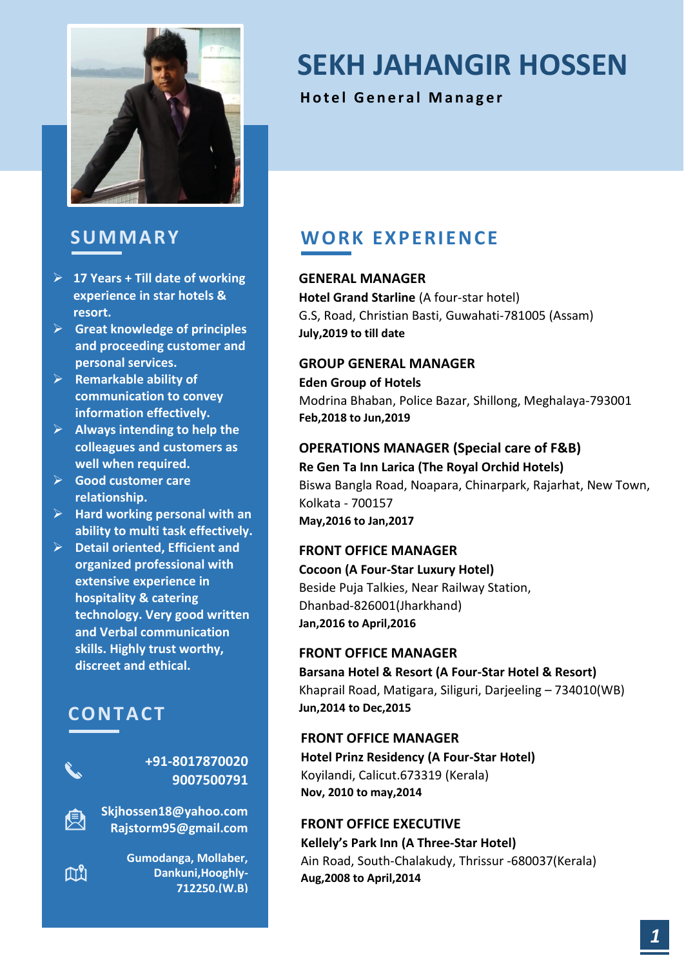

### **S U MMA RY**

- ➢ **17 Years + Till date of working experience in star hotels & resort.**
- ➢ **Great knowledge of principles and proceeding customer and personal services.**
- ➢ **Remarkable ability of communication to convey information effectively.**
- ➢ **Always intending to help the colleagues and customers as well when required.**
- ➢ **Good customer care relationship.**
- ➢ **Hard working personal with an ability to multi task effectively.**
- ➢ **Detail oriented, Efficient and organized professional with extensive experience in hospitality & catering technology. Very good written and Verbal communication skills. Highly trust worthy, discreet and ethical.**

# **CON TA CT**

臾

 $\mathbb{M}^9$ 

#### **+91-8017870020 9007500791**

**Skjhossen18@yahoo.com Rajstorm95@gmail.com**

> **Gumodanga, Mollaber, Dankuni,Hooghly-712250.(W.B)**

# **SEKH JAHANGIR HOSSEN**

**Hotel General Manager** 

# **W ORK EX P ERIEN CE**

### **GENERAL MANAGER**

**Hotel Grand Starline** (A four-star hotel) G.S, Road, Christian Basti, Guwahati-781005 (Assam) **July,2019 to till date**

### **GROUP GENERAL MANAGER**

**Eden Group of Hotels** Modrina Bhaban, Police Bazar, Shillong, Meghalaya-793001 **Feb,2018 to Jun,2019**

### **OPERATIONS MANAGER (Special care of F&B)**

**Re Gen Ta Inn Larica (The Royal Orchid Hotels)** Biswa Bangla Road, Noapara, Chinarpark, Rajarhat, New Town, Kolkata - 700157 **May,2016 to Jan,2017**

#### **FRONT OFFICE MANAGER**

**Cocoon (A Four-Star Luxury Hotel)** Beside Puja Talkies, Near Railway Station, Dhanbad-826001(Jharkhand) **Jan,2016 to April,2016**

#### **FRONT OFFICE MANAGER**

**Barsana Hotel & Resort (A Four-Star Hotel & Resort)** Khaprail Road, Matigara, Siliguri, Darjeeling – 734010(WB) **Jun,2014 to Dec,2015**

#### **FRONT OFFICE MANAGER**

**Hotel Prinz Residency (A Four-Star Hotel)** Koyilandi, Calicut.673319 (Kerala) **Nov, 2010 to may,2014**

#### **FRONT OFFICE EXECUTIVE**

**Kellely's Park Inn (A Three-Star Hotel)** Ain Road, South-Chalakudy, Thrissur -680037(Kerala) **Aug,2008 to April,2014**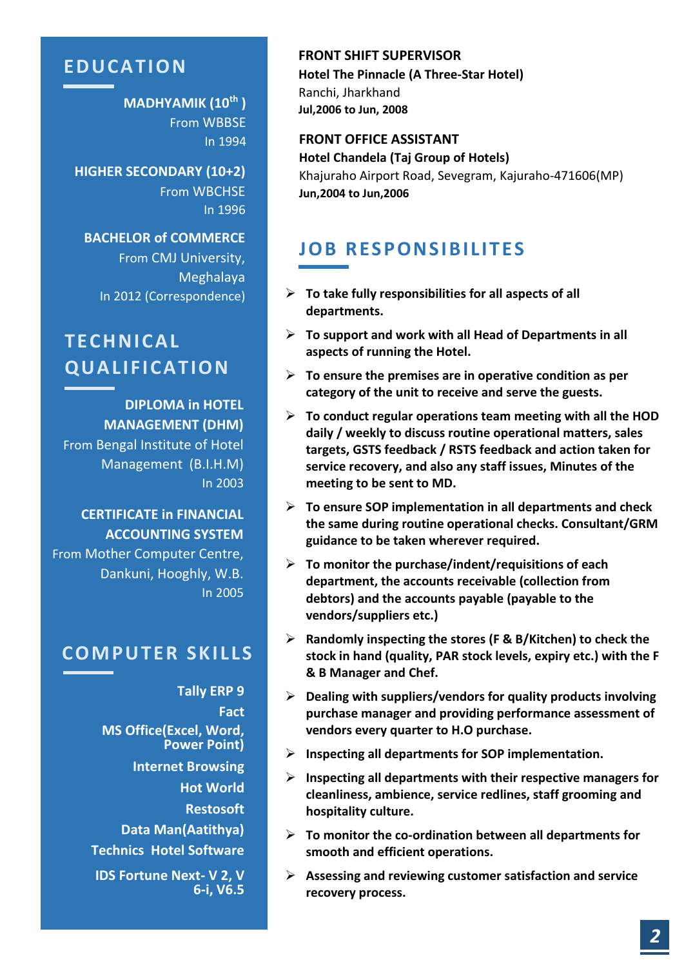### **ED U CA TION**

**MADHYAMIK (10th )** From WBBSE In 1994

**HIGHER SECONDARY (10+2)** From WBCHSE In 1996

**BACHELOR of COMMERCE** From CMJ University, Meghalaya

# **TECH NICA L Q U A LIF ICA TION**

**DIPLOMA in HOTEL MANAGEMENT (DHM)** From Bengal Institute of Hotel Management (B.I.H.M) In 2003

### **CERTIFICATE in FINANCIAL ACCOUNTING SYSTEM**

From Mother Computer Centre, Dankuni, Hooghly, W.B. In 2005

### **COMP U TER SKILLS**

**Tally ERP 9 Fact MS Office(Excel, Word, Power Point) Internet Browsing Hot World Restosoft Data Man(Aatithya) Technics Hotel Software IDS Fortune Next- V 2, V 6-i, V6.5**

**FRONT SHIFT SUPERVISOR Hotel The Pinnacle (A Three-Star Hotel)** Ranchi, Jharkhand **Jul,2006 to Jun, 2008**

# **FRONT OFFICE ASSISTANT**

**Hotel Chandela (Taj Group of Hotels)** Khajuraho Airport Road, Sevegram, Kajuraho-471606(MP) **Jun,2004 to Jun,2006** 

## **JOB RESPONSIBILITES**

- In 2012 (Correspondence)  $\longrightarrow$  **To take fully responsibilities for all aspects of all departments.**
	- ➢ **To support and work with all Head of Departments in all aspects of running the Hotel.**
	- ➢ **To ensure the premises are in operative condition as per category of the unit to receive and serve the guests.**
	- ➢ **To conduct regular operations team meeting with all the HOD daily / weekly to discuss routine operational matters, sales targets, GSTS feedback / RSTS feedback and action taken for service recovery, and also any staff issues, Minutes of the meeting to be sent to MD.**
	- ➢ **To ensure SOP implementation in all departments and check the same during routine operational checks. Consultant/GRM guidance to be taken wherever required.**
	- ➢ **To monitor the purchase/indent/requisitions of each department, the accounts receivable (collection from debtors) and the accounts payable (payable to the vendors/suppliers etc.)**
	- ➢ **Randomly inspecting the stores (F & B/Kitchen) to check the stock in hand (quality, PAR stock levels, expiry etc.) with the F & B Manager and Chef.**
	- ➢ **Dealing with suppliers/vendors for quality products involving purchase manager and providing performance assessment of vendors every quarter to H.O purchase.**
	- ➢ **Inspecting all departments for SOP implementation.**
	- ➢ **Inspecting all departments with their respective managers for cleanliness, ambience, service redlines, staff grooming and hospitality culture.**
	- ➢ **To monitor the co-ordination between all departments for smooth and efficient operations.**
	- ➢ **Assessing and reviewing customer satisfaction and service recovery process.**